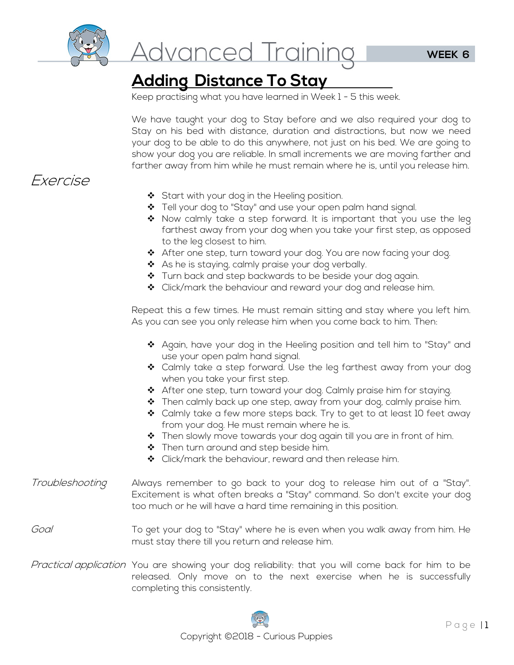

# <u>Advanced Training</u>

# **Adding Distance To Stay**

Keep practising what you have learned in Week 1 - 5 this week.

We have taught your dog to Stay before and we also required your dog to Stay on his bed with distance, duration and distractions, but now we need your dog to be able to do this anywhere, not just on his bed. We are going to show your dog you are reliable. In small increments we are moving farther and farther away from him while he must remain where he is, until you release him.

## Exercise

- ◆ Start with your dog in the Heeling position.
- \* Tell your dog to "Stay" and use your open palm hand signal.
- $\clubsuit$  Now calmly take a step forward. It is important that you use the leg farthest away from your dog when you take your first step, as opposed to the leg closest to him.
- After one step, turn toward your dog. You are now facing your dog.
- ◆ As he is staying, calmly praise your dog verbally.
- Turn back and step backwards to be beside your dog again.
- ❖ Click/mark the behaviour and reward your dog and release him.

Repeat this a few times. He must remain sitting and stay where you left him. As you can see you only release him when you come back to him. Then:

- $\clubsuit$  Again, have your dog in the Heeling position and tell him to "Stay" and use your open palm hand signal.
- Calmly take a step forward. Use the leg farthest away from your dog when you take your first step.
- \* After one step, turn toward your dog. Calmly praise him for staying.
- Then calmly back up one step, away from your dog, calmly praise him.
- ❖ Calmly take a few more steps back. Try to get to at least 10 feet away from your dog. He must remain where he is.
- $\clubsuit$  Then slowly move towards your dog again till you are in front of him.
- \* Then turn around and step beside him.
- ❖ Click/mark the behaviour, reward and then release him.
- *Troubleshooting* Always remember to go back to your dog to release him out of a "Stay". Excitement is what often breaks a "Stay" command. So don't excite your dog too much or he will have a hard time remaining in this position.
- Goal To get your dog to "Stay" where he is even when you walk away from him. He must stay there till you return and release him.
- Practical application You are showing your dog reliability: that you will come back for him to be released. Only move on to the next exercise when he is successfully completing this consistently.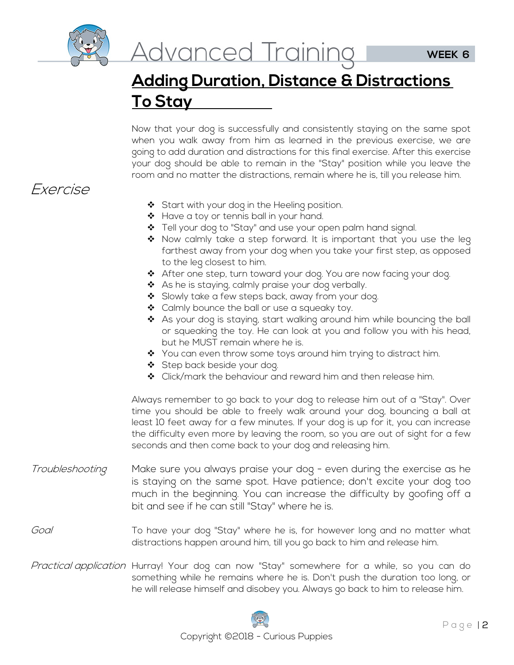

# **Adding Duration, Distance & Distractions To Stay**

Now that your dog is successfully and consistently staying on the same spot when you walk away from him as learned in the previous exercise, we are going to add duration and distractions for this final exercise. After this exercise your dog should be able to remain in the "Stay" position while you leave the room and no matter the distractions, remain where he is, till you release him.

## Exercise

- Start with your dog in the Heeling position.
- \* Have a toy or tennis ball in your hand.
- ❖ Tell your dog to "Stay" and use your open palm hand signal.
- Now calmly take a step forward. It is important that you use the leg farthest away from your dog when you take your first step, as opposed to the leg closest to him.
- \* After one step, turn toward your dog. You are now facing your dog.
- ◆ As he is staying, calmly praise your dog verbally.
- Slowly take a few steps back, away from your dog.
- ❖ Calmly bounce the ball or use a squeaky toy.
- \* As your dog is staying, start walking around him while bouncing the ball or squeaking the toy. He can look at you and follow you with his head, but he MUST remain where he is.
- ◆ You can even throw some toys around him trying to distract him.
- Step back beside your dog.
- ◆ Click/mark the behaviour and reward him and then release him.

Always remember to go back to your dog to release him out of a "Stay". Over time you should be able to freely walk around your dog, bouncing a ball at least 10 feet away for a few minutes. If your dog is up for it, you can increase the difficulty even more by leaving the room, so you are out of sight for a few seconds and then come back to your dog and releasing him.

Troubleshooting Make sure you always praise your dog - even during the exercise as he is staying on the same spot. Have patience; don't excite your dog too much in the beginning. You can increase the difficulty by goofing off a bit and see if he can still "Stay" where he is.

#### Goal To have your dog "Stay" where he is, for however long and no matter what distractions happen around him, till you go back to him and release him.

Practical application Hurray! Your dog can now "Stay" somewhere for a while, so you can do something while he remains where he is. Don't push the duration too long, or he will release himself and disobey you. Always go back to him to release him.